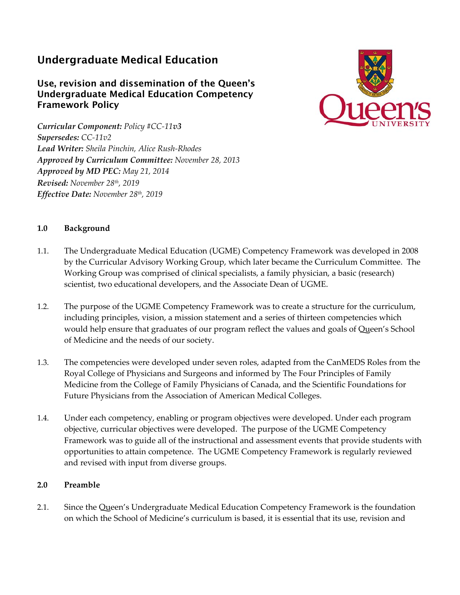## Undergraduate Medical Education

## Use, revision and dissemination of the Queen's Undergraduate Medical Education Competency Framework Policy

*Curricular Component: Policy #CC‐11v3 Supersedes: CC‐11v2 Lead Writer: Sheila Pinchin, Alice Rush‐Rhodes Approved by Curriculum Committee: November 28, 2013 Approved by MD PEC: May 21, 2014 Revised: November 28th, 2019 Effective Date: November 28th, 2019*



## **1.0 Background**

- 1.1. The Undergraduate Medical Education (UGME) Competency Framework was developed in 2008 by the Curricular Advisory Working Group, which later became the Curriculum Committee. The Working Group was comprised of clinical specialists, a family physician, a basic (research) scientist, two educational developers, and the Associate Dean of UGME.
- 1.2. The purpose of the UGME Competency Framework was to create a structure for the curriculum, including principles, vision, a mission statement and a series of thirteen competencies which would help ensure that graduates of our program reflect the values and goals of Queen's School of Medicine and the needs of our society.
- 1.3. The competencies were developed under seven roles, adapted from the CanMEDS Roles from the Royal College of Physicians and Surgeons and informed by The Four Principles of Family Medicine from the College of Family Physicians of Canada, and the Scientific Foundations for Future Physicians from the Association of American Medical Colleges.
- 1.4. Under each competency, enabling or program objectives were developed. Under each program objective, curricular objectives were developed. The purpose of the UGME Competency Framework was to guide all of the instructional and assessment events that provide students with opportunities to attain competence. The UGME Competency Framework is regularly reviewed and revised with input from diverse groups.

## **2.0 Preamble**

2.1. Since the Queen's Undergraduate Medical Education Competency Framework is the foundation on which the School of Medicine's curriculum is based, it is essential that its use, revision and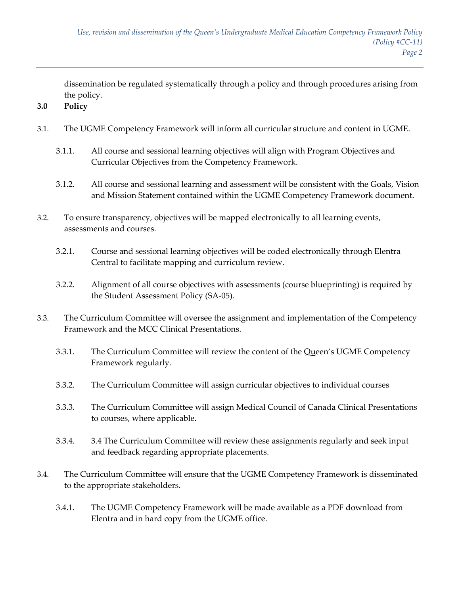dissemination be regulated systematically through a policy and through procedures arising from the policy.

- **3.0 Policy**
- 3.1. The UGME Competency Framework will inform all curricular structure and content in UGME.
	- 3.1.1. All course and sessional learning objectives will align with Program Objectives and Curricular Objectives from the Competency Framework.
	- 3.1.2. All course and sessional learning and assessment will be consistent with the Goals, Vision and Mission Statement contained within the UGME Competency Framework document.
- 3.2. To ensure transparency, objectives will be mapped electronically to all learning events, assessments and courses.
	- 3.2.1. Course and sessional learning objectives will be coded electronically through Elentra Central to facilitate mapping and curriculum review.
	- 3.2.2. Alignment of all course objectives with assessments (course blueprinting) is required by the Student Assessment Policy (SA‐05).
- 3.3. The Curriculum Committee will oversee the assignment and implementation of the Competency Framework and the MCC Clinical Presentations.
	- 3.3.1. The Curriculum Committee will review the content of the Queen's UGME Competency Framework regularly.
	- 3.3.2. The Curriculum Committee will assign curricular objectives to individual courses
	- 3.3.3. The Curriculum Committee will assign Medical Council of Canada Clinical Presentations to courses, where applicable.
	- 3.3.4. 3.4 The Curriculum Committee will review these assignments regularly and seek input and feedback regarding appropriate placements.
- 3.4. The Curriculum Committee will ensure that the UGME Competency Framework is disseminated to the appropriate stakeholders.
	- 3.4.1. The UGME Competency Framework will be made available as a PDF download from Elentra and in hard copy from the UGME office.